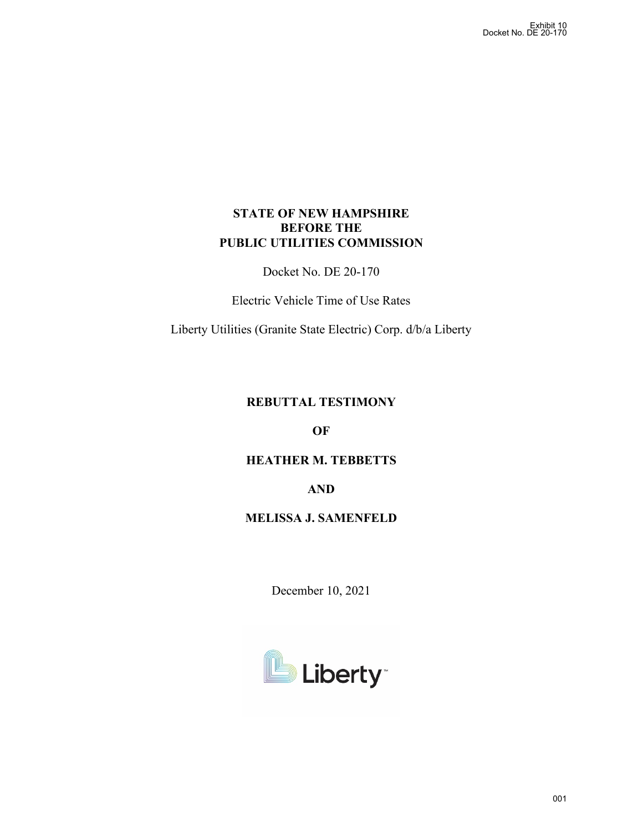# **STATE OF NEW HAMPSHIRE BEFORE THE PUBLIC UTILITIES COMMISSION**

Docket No. DE 20-170

Electric Vehicle Time of Use Rates

Liberty Utilities (Granite State Electric) Corp. d/b/a Liberty

# **REBUTTAL TESTIMONY**

**OF**

# **HEATHER M. TEBBETTS**

**AND**

## **MELISSA J. SAMENFELD**

December 10, 2021

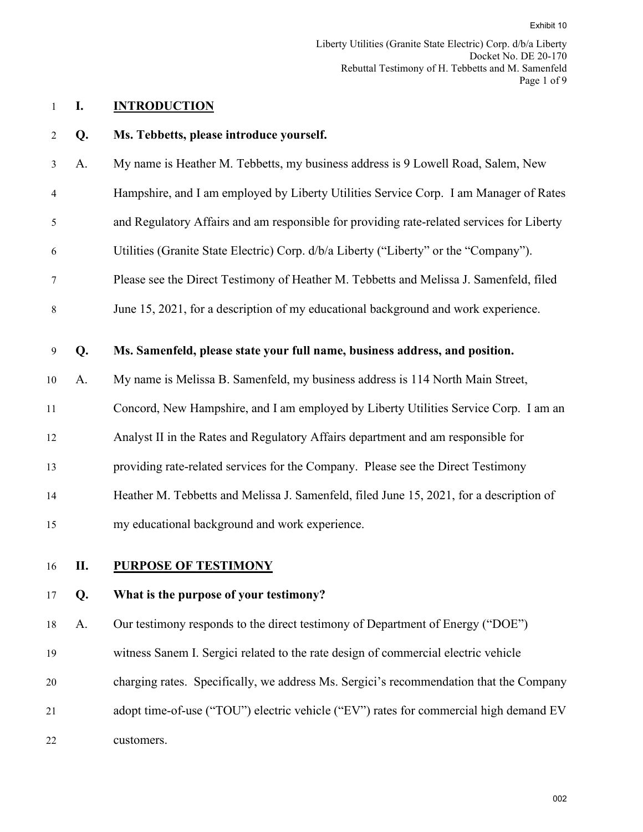## 1 **I. INTRODUCTION**

- 2 **Q. Ms. Tebbetts, please introduce yourself.**
- 3 A. My name is Heather M. Tebbetts, my business address is 9 Lowell Road, Salem, New
- 4 Hampshire, and I am employed by Liberty Utilities Service Corp. I am Manager of Rates
- 5 and Regulatory Affairs and am responsible for providing rate-related services for Liberty
- 6 Utilities (Granite State Electric) Corp. d/b/a Liberty ("Liberty" or the "Company").
- 7 Please see the Direct Testimony of Heather M. Tebbetts and Melissa J. Samenfeld, filed
- 8 June 15, 2021, for a description of my educational background and work experience.
- 9 **Q. Ms. Samenfeld, please state your full name, business address, and position.**
- 10 A. My name is Melissa B. Samenfeld, my business address is 114 North Main Street,
- 11 Concord, New Hampshire, and I am employed by Liberty Utilities Service Corp. I am an
- 12 Analyst II in the Rates and Regulatory Affairs department and am responsible for
- 13 providing rate-related services for the Company. Please see the Direct Testimony
- 14 Heather M. Tebbetts and Melissa J. Samenfeld, filed June 15, 2021, for a description of
- 15 my educational background and work experience.
- 

## 16 **II. PURPOSE OF TESTIMONY**

### 17 **Q. What is the purpose of your testimony?**

18 A. Our testimony responds to the direct testimony of Department of Energy ("DOE")

- 19 witness Sanem I. Sergici related to the rate design of commercial electric vehicle
- 20 charging rates. Specifically, we address Ms. Sergici's recommendation that the Company
- 21 adopt time-of-use ("TOU") electric vehicle ("EV") rates for commercial high demand EV 22 customers.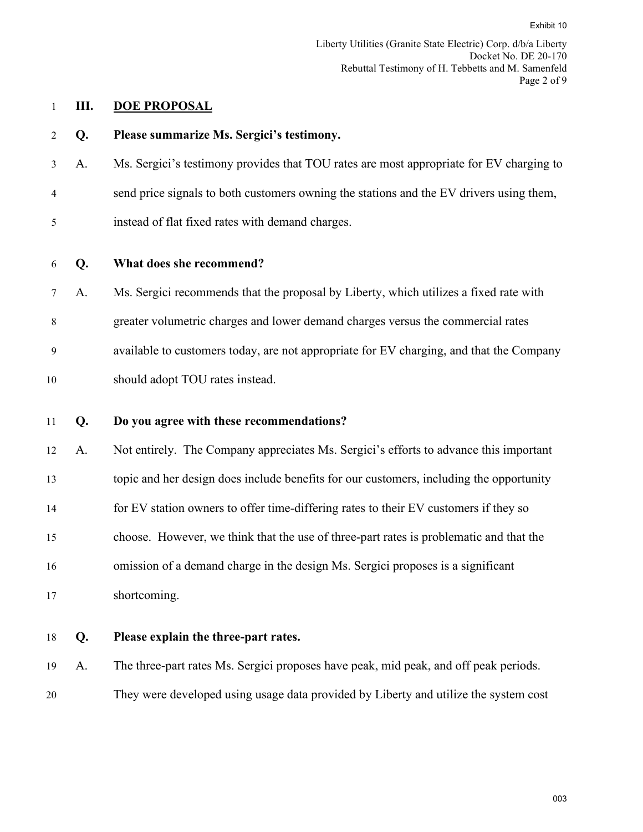# 1 **III. DOE PROPOSAL**

|                |    | Exhibit 10                                                                                                                                   |     |
|----------------|----|----------------------------------------------------------------------------------------------------------------------------------------------|-----|
|                |    | Liberty Utilities (Granite State Electric) Corp. d/b/a Liberty<br>Docket No. DE 20-170<br>Rebuttal Testimony of H. Tebbetts and M. Samenfeld |     |
|                |    | Page 2 of 9                                                                                                                                  |     |
| $\mathbf{1}$   | Ш. | <b>DOE PROPOSAL</b>                                                                                                                          |     |
| $\overline{c}$ | Q. | Please summarize Ms. Sergici's testimony.                                                                                                    |     |
| 3              | A. | Ms. Sergici's testimony provides that TOU rates are most appropriate for EV charging to                                                      |     |
| 4              |    | send price signals to both customers owning the stations and the EV drivers using them,                                                      |     |
| 5              |    | instead of flat fixed rates with demand charges.                                                                                             |     |
| 6              | Q. | What does she recommend?                                                                                                                     |     |
| 7              | A. | Ms. Sergici recommends that the proposal by Liberty, which utilizes a fixed rate with                                                        |     |
| 8              |    | greater volumetric charges and lower demand charges versus the commercial rates                                                              |     |
| 9              |    | available to customers today, are not appropriate for EV charging, and that the Company                                                      |     |
| 10             |    | should adopt TOU rates instead.                                                                                                              |     |
| 11             | Q. | Do you agree with these recommendations?                                                                                                     |     |
| 12             | A. | Not entirely. The Company appreciates Ms. Sergici's efforts to advance this important                                                        |     |
| 13             |    | topic and her design does include benefits for our customers, including the opportunity                                                      |     |
| 14             |    | for EV station owners to offer time-differing rates to their EV customers if they so                                                         |     |
| 15             |    | choose. However, we think that the use of three-part rates is problematic and that the                                                       |     |
| 16             |    | omission of a demand charge in the design Ms. Sergici proposes is a significant                                                              |     |
| 17             |    | shortcoming.                                                                                                                                 |     |
| 18             | Q. | Please explain the three-part rates.                                                                                                         |     |
| 19             | A. | The three-part rates Ms. Sergici proposes have peak, mid peak, and off peak periods.                                                         |     |
| 20             |    | They were developed using usage data provided by Liberty and utilize the system cost                                                         |     |
|                |    |                                                                                                                                              |     |
|                |    |                                                                                                                                              |     |
|                |    |                                                                                                                                              | 003 |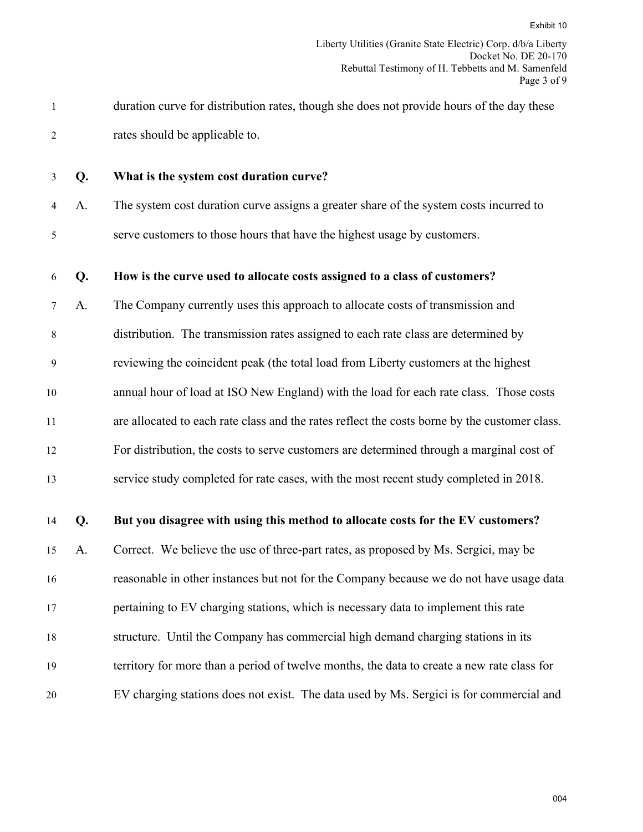- 1 duration curve for distribution rates, though she does not provide hours of the day these 2 rates should be applicable to.
- 

## 3 **Q. What is the system cost duration curve?**

4 A. The system cost duration curve assigns a greater share of the system costs incurred to 5 serve customers to those hours that have the highest usage by customers.

#### 6 **Q. How is the curve used to allocate costs assigned to a class of customers?**

7 A. The Company currently uses this approach to allocate costs of transmission and 8 distribution. The transmission rates assigned to each rate class are determined by 9 reviewing the coincident peak (the total load from Liberty customers at the highest 10 annual hour of load at ISO New England) with the load for each rate class. Those costs 11 are allocated to each rate class and the rates reflect the costs borne by the customer class. 12 For distribution, the costs to serve customers are determined through a marginal cost of Exhibit 10<br>a Liberty<br>E 20-170<br>menfeld<br>ge 3 of 9<br>these<br>these<br>these<br>e<br>ge data<br>i,<br>s?<br>costs<br>al and<br>i,<br>004

13 service study completed for rate cases, with the most recent study completed in 2018.

## 14 **Q. But you disagree with using this method to allocate costs for the EV customers?**

15 A. Correct. We believe the use of three-part rates, as proposed by Ms. Sergici, may be 16 reasonable in other instances but not for the Company because we do not have usage data

17 pertaining to EV charging stations, which is necessary data to implement this rate

- 18 structure. Until the Company has commercial high demand charging stations in its
- 19 territory for more than a period of twelve months, the data to create a new rate class for
- 20 EV charging stations does not exist. The data used by Ms. Sergici is for commercial and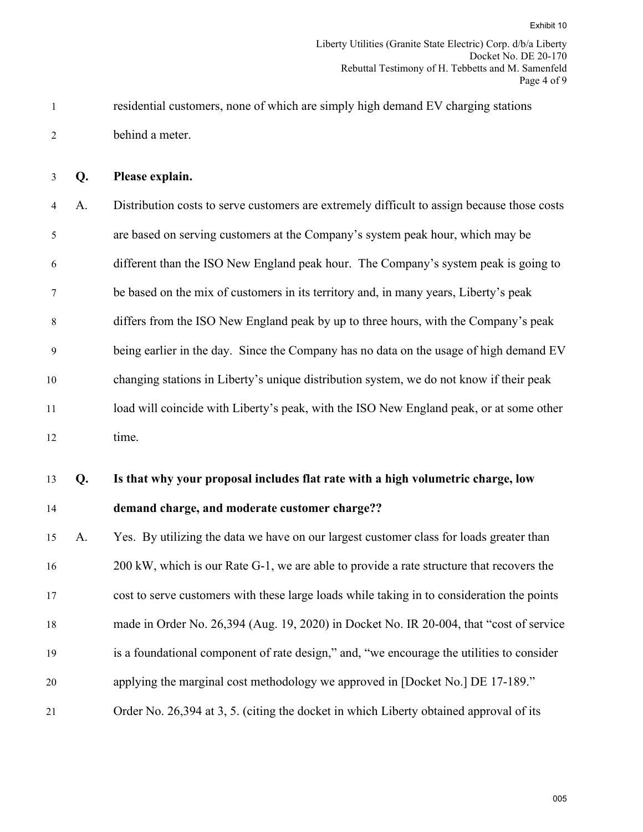1 residential customers, none of which are simply high demand EV charging stations 2 behind a meter.

3 **Q. Please explain.**

4 A. Distribution costs to serve customers are extremely difficult to assign because those costs 5 are based on serving customers at the Company's system peak hour, which may be 6 different than the ISO New England peak hour. The Company's system peak is going to 7 be based on the mix of customers in its territory and, in many years, Liberty's peak 8 differs from the ISO New England peak by up to three hours, with the Company's peak 9 being earlier in the day. Since the Company has no data on the usage of high demand EV 10 changing stations in Liberty's unique distribution system, we do not know if their peak 11 load will coincide with Liberty's peak, with the ISO New England peak, or at some other 12 time. Exhibit 10<br>a Liberty<br>E 20-170<br>menfeld<br>ge 4 of 9<br>s<br>service<br>e costs<br>exhime to peak<br>and EV<br>peak<br>whan<br>service<br>sider<br>whan<br>service<br>sider<br>whan<br>than<br>costs

13 **Q. Is that why your proposal includes flat rate with a high volumetric charge, low** 

#### 14 **demand charge, and moderate customer charge??**

 A. Yes. By utilizing the data we have on our largest customer class for loads greater than 16 200 kW, which is our Rate G-1, we are able to provide a rate structure that recovers the cost to serve customers with these large loads while taking in to consideration the points made in Order No. 26,394 (Aug. 19, 2020) in Docket No. IR 20-004, that "cost of service is a foundational component of rate design," and, "we encourage the utilities to consider applying the marginal cost methodology we approved in [Docket No.] DE 17-189." Order No. 26,394 at 3, 5. (citing the docket in which Liberty obtained approval of its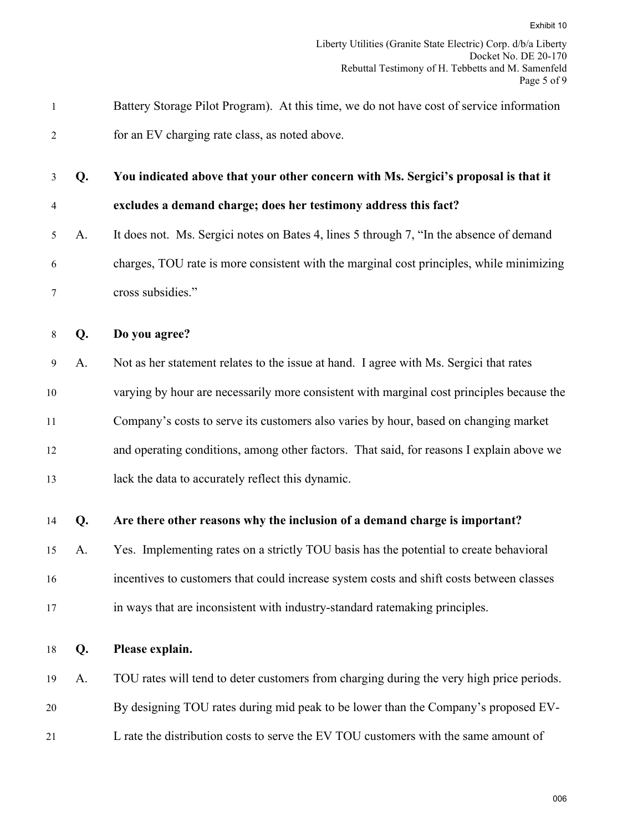|              |    | Exhibit 10                                                                                                                                   |
|--------------|----|----------------------------------------------------------------------------------------------------------------------------------------------|
|              |    | Liberty Utilities (Granite State Electric) Corp. d/b/a Liberty<br>Docket No. DE 20-170<br>Rebuttal Testimony of H. Tebbetts and M. Samenfeld |
|              |    | Page 5 of 9                                                                                                                                  |
| $\mathbf{1}$ |    | Battery Storage Pilot Program). At this time, we do not have cost of service information                                                     |
| 2            |    | for an EV charging rate class, as noted above.                                                                                               |
| 3            | Q. | You indicated above that your other concern with Ms. Sergici's proposal is that it                                                           |
| 4            |    | excludes a demand charge; does her testimony address this fact?                                                                              |
| 5            | A. | It does not. Ms. Sergici notes on Bates 4, lines 5 through 7, "In the absence of demand                                                      |
| 6            |    | charges, TOU rate is more consistent with the marginal cost principles, while minimizing                                                     |
| 7            |    | cross subsidies."                                                                                                                            |
| 8            | Q. | Do you agree?                                                                                                                                |
| 9            | A. | Not as her statement relates to the issue at hand. I agree with Ms. Sergici that rates                                                       |
| 10           |    | varying by hour are necessarily more consistent with marginal cost principles because the                                                    |
| 11           |    | Company's costs to serve its customers also varies by hour, based on changing market                                                         |
| 12           |    | and operating conditions, among other factors. That said, for reasons I explain above we                                                     |
| 13           |    | lack the data to accurately reflect this dynamic.                                                                                            |
| 14           | Q. | Are there other reasons why the inclusion of a demand charge is important?                                                                   |
| 15           | A. | Yes. Implementing rates on a strictly TOU basis has the potential to create behavioral                                                       |
| 16           |    | incentives to customers that could increase system costs and shift costs between classes                                                     |
| 17           |    | in ways that are inconsistent with industry-standard ratemaking principles.                                                                  |
| 18           | Q. | Please explain.                                                                                                                              |
| 19           | A. | TOU rates will tend to deter customers from charging during the very high price periods.                                                     |
| 20           |    | By designing TOU rates during mid peak to be lower than the Company's proposed EV-                                                           |
| 21           |    | L rate the distribution costs to serve the EV TOU customers with the same amount of                                                          |
|              |    |                                                                                                                                              |
|              |    | 006                                                                                                                                          |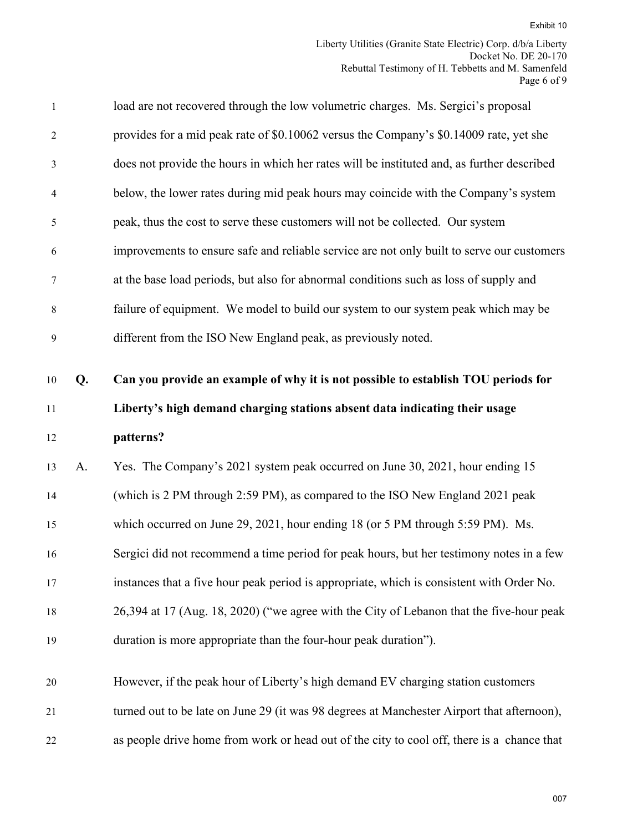|              |    | Exhibit 10                                                                                                                                   |
|--------------|----|----------------------------------------------------------------------------------------------------------------------------------------------|
|              |    | Liberty Utilities (Granite State Electric) Corp. d/b/a Liberty<br>Docket No. DE 20-170<br>Rebuttal Testimony of H. Tebbetts and M. Samenfeld |
| $\mathbf{1}$ |    | Page 6 of 9<br>load are not recovered through the low volumetric charges. Ms. Sergici's proposal                                             |
|              |    |                                                                                                                                              |
| 2            |    | provides for a mid peak rate of \$0.10062 versus the Company's \$0.14009 rate, yet she                                                       |
| 3            |    | does not provide the hours in which her rates will be instituted and, as further described                                                   |
| 4            |    | below, the lower rates during mid peak hours may coincide with the Company's system                                                          |
| 5            |    | peak, thus the cost to serve these customers will not be collected. Our system                                                               |
| 6            |    | improvements to ensure safe and reliable service are not only built to serve our customers                                                   |
| 7            |    | at the base load periods, but also for abnormal conditions such as loss of supply and                                                        |
| 8            |    | failure of equipment. We model to build our system to our system peak which may be                                                           |
| 9            |    | different from the ISO New England peak, as previously noted.                                                                                |
| 10           | Q. | Can you provide an example of why it is not possible to establish TOU periods for                                                            |
| 11           |    | Liberty's high demand charging stations absent data indicating their usage                                                                   |
| 12           |    | patterns?                                                                                                                                    |
| 13           | A. | Yes. The Company's 2021 system peak occurred on June 30, 2021, hour ending 15                                                                |
| 14           |    | (which is 2 PM through 2:59 PM), as compared to the ISO New England 2021 peak                                                                |
| 15           |    | which occurred on June 29, 2021, hour ending 18 (or 5 PM through 5:59 PM). Ms.                                                               |
| 16           |    | Sergici did not recommend a time period for peak hours, but her testimony notes in a few                                                     |
| 17           |    | instances that a five hour peak period is appropriate, which is consistent with Order No.                                                    |
| 18           |    | 26,394 at 17 (Aug. 18, 2020) ("we agree with the City of Lebanon that the five-hour peak                                                     |
| 19           |    | duration is more appropriate than the four-hour peak duration").                                                                             |
| 20           |    | However, if the peak hour of Liberty's high demand EV charging station customers                                                             |
| 21           |    | turned out to be late on June 29 (it was 98 degrees at Manchester Airport that afternoon),                                                   |
| 22           |    | as people drive home from work or head out of the city to cool off, there is a chance that                                                   |
|              |    | 007                                                                                                                                          |
|              |    |                                                                                                                                              |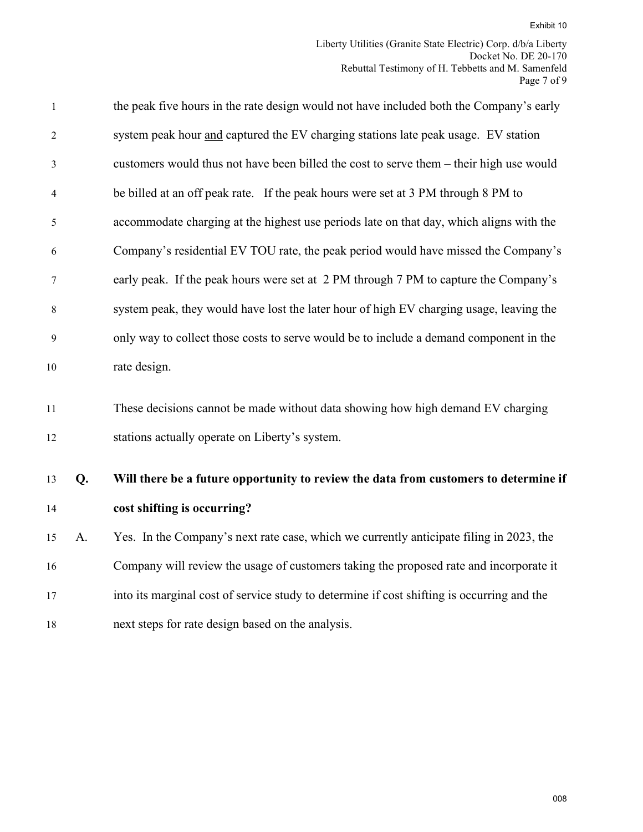|              |    | Exhibit 10                                                                                                                                   |
|--------------|----|----------------------------------------------------------------------------------------------------------------------------------------------|
|              |    | Liberty Utilities (Granite State Electric) Corp. d/b/a Liberty<br>Docket No. DE 20-170<br>Rebuttal Testimony of H. Tebbetts and M. Samenfeld |
|              |    | Page 7 of 9                                                                                                                                  |
| $\mathbf{1}$ |    | the peak five hours in the rate design would not have included both the Company's early                                                      |
| 2            |    | system peak hour and captured the EV charging stations late peak usage. EV station                                                           |
| 3            |    | customers would thus not have been billed the cost to serve them – their high use would                                                      |
| 4            |    | be billed at an off peak rate. If the peak hours were set at 3 PM through 8 PM to                                                            |
| 5            |    | accommodate charging at the highest use periods late on that day, which aligns with the                                                      |
| 6            |    | Company's residential EV TOU rate, the peak period would have missed the Company's                                                           |
| 7            |    | early peak. If the peak hours were set at 2 PM through 7 PM to capture the Company's                                                         |
| 8            |    | system peak, they would have lost the later hour of high EV charging usage, leaving the                                                      |
| 9            |    | only way to collect those costs to serve would be to include a demand component in the                                                       |
| 10           |    | rate design.                                                                                                                                 |
| 11           |    | These decisions cannot be made without data showing how high demand EV charging                                                              |
| 12           |    | stations actually operate on Liberty's system.                                                                                               |
| 13           | Q. | Will there be a future opportunity to review the data from customers to determine if                                                         |
| 14           |    | cost shifting is occurring?                                                                                                                  |
| 15           | A. | Yes. In the Company's next rate case, which we currently anticipate filing in 2023, the                                                      |
| 16           |    | Company will review the usage of customers taking the proposed rate and incorporate it                                                       |
| 17           |    | into its marginal cost of service study to determine if cost shifting is occurring and the                                                   |
| 18           |    | next steps for rate design based on the analysis.                                                                                            |
|              |    |                                                                                                                                              |
|              |    |                                                                                                                                              |
|              |    |                                                                                                                                              |
|              |    |                                                                                                                                              |
|              |    |                                                                                                                                              |
|              |    |                                                                                                                                              |
|              |    | 008                                                                                                                                          |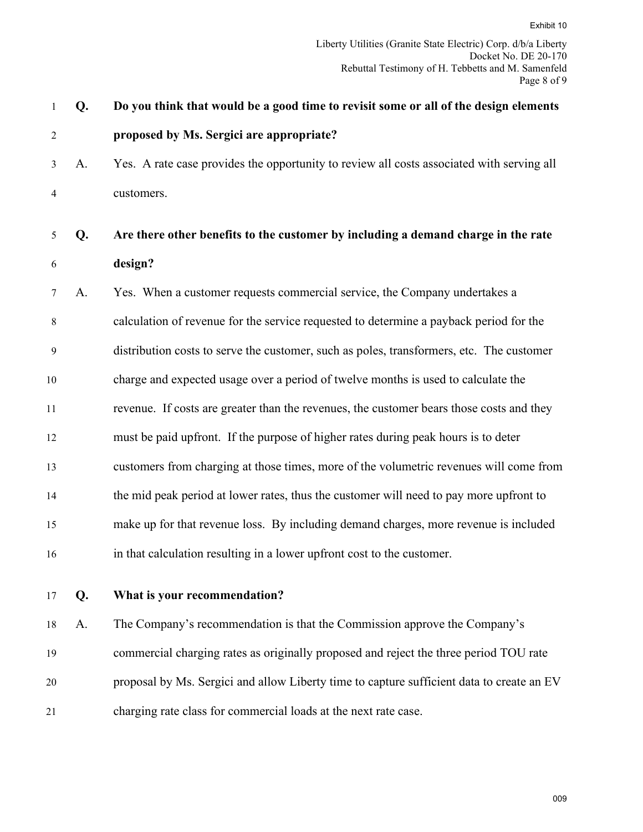|              |    | Exhibit 10                                                                                |
|--------------|----|-------------------------------------------------------------------------------------------|
|              |    | Liberty Utilities (Granite State Electric) Corp. d/b/a Liberty                            |
|              |    | Docket No. DE 20-170<br>Rebuttal Testimony of H. Tebbetts and M. Samenfeld<br>Page 8 of 9 |
| $\mathbf{1}$ | Q. | Do you think that would be a good time to revisit some or all of the design elements      |
| 2            |    | proposed by Ms. Sergici are appropriate?                                                  |
| 3            | A. | Yes. A rate case provides the opportunity to review all costs associated with serving all |
| 4            |    | customers.                                                                                |
| 5            | Q. | Are there other benefits to the customer by including a demand charge in the rate         |
| 6            |    | design?                                                                                   |
| 7            | A. | Yes. When a customer requests commercial service, the Company undertakes a                |
| 8            |    | calculation of revenue for the service requested to determine a payback period for the    |
| 9            |    | distribution costs to serve the customer, such as poles, transformers, etc. The customer  |
| 10           |    | charge and expected usage over a period of twelve months is used to calculate the         |
| 11           |    | revenue. If costs are greater than the revenues, the customer bears those costs and they  |
| 12           |    | must be paid upfront. If the purpose of higher rates during peak hours is to deter        |
| 13           |    | customers from charging at those times, more of the volumetric revenues will come from    |
| 14           |    | the mid peak period at lower rates, thus the customer will need to pay more upfront to    |
| 15           |    | make up for that revenue loss. By including demand charges, more revenue is included      |
| 16           |    | in that calculation resulting in a lower upfront cost to the customer.                    |
| 17           | Q. | What is your recommendation?                                                              |
| 18           | A. | The Company's recommendation is that the Commission approve the Company's                 |
| 19           |    | commercial charging rates as originally proposed and reject the three period TOU rate     |
| 20           |    | proposal by Ms. Sergici and allow Liberty time to capture sufficient data to create an EV |
| 21           |    | charging rate class for commercial loads at the next rate case.                           |
|              |    |                                                                                           |
|              |    |                                                                                           |
|              |    | 009                                                                                       |